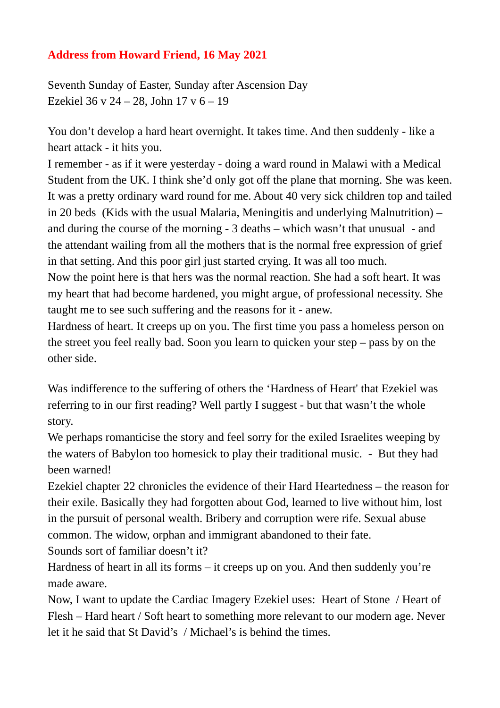## **Address from Howard Friend, 16 May 2021**

Seventh Sunday of Easter, Sunday after Ascension Day Ezekiel 36 v 24 – 28, John 17 v 6 – 19

You don't develop a hard heart overnight. It takes time. And then suddenly - like a heart attack - it hits you.

I remember - as if it were yesterday - doing a ward round in Malawi with a Medical Student from the UK. I think she'd only got off the plane that morning. She was keen. It was a pretty ordinary ward round for me. About 40 very sick children top and tailed in 20 beds (Kids with the usual Malaria, Meningitis and underlying Malnutrition) – and during the course of the morning - 3 deaths – which wasn't that unusual - and the attendant wailing from all the mothers that is the normal free expression of grief in that setting. And this poor girl just started crying. It was all too much.

Now the point here is that hers was the normal reaction. She had a soft heart. It was my heart that had become hardened, you might argue, of professional necessity. She taught me to see such suffering and the reasons for it - anew.

Hardness of heart. It creeps up on you. The first time you pass a homeless person on the street you feel really bad. Soon you learn to quicken your step – pass by on the other side.

Was indifference to the suffering of others the 'Hardness of Heart' that Ezekiel was referring to in our first reading? Well partly I suggest - but that wasn't the whole story.

We perhaps romanticise the story and feel sorry for the exiled Israelites weeping by the waters of Babylon too homesick to play their traditional music. - But they had been warned!

Ezekiel chapter 22 chronicles the evidence of their Hard Heartedness – the reason for their exile. Basically they had forgotten about God, learned to live without him, lost in the pursuit of personal wealth. Bribery and corruption were rife. Sexual abuse common. The widow, orphan and immigrant abandoned to their fate.

Sounds sort of familiar doesn't it?

Hardness of heart in all its forms – it creeps up on you. And then suddenly you're made aware.

Now, I want to update the Cardiac Imagery Ezekiel uses: Heart of Stone / Heart of Flesh – Hard heart / Soft heart to something more relevant to our modern age. Never let it he said that St David's / Michael's is behind the times.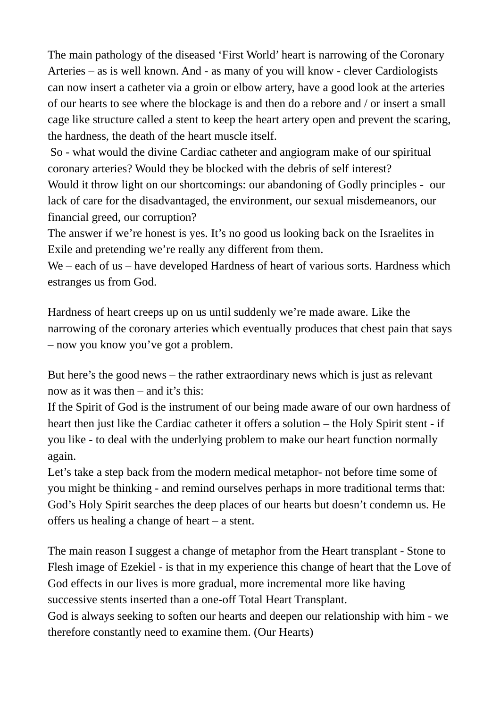The main pathology of the diseased 'First World' heart is narrowing of the Coronary Arteries – as is well known. And - as many of you will know - clever Cardiologists can now insert a catheter via a groin or elbow artery, have a good look at the arteries of our hearts to see where the blockage is and then do a rebore and / or insert a small cage like structure called a stent to keep the heart artery open and prevent the scaring, the hardness, the death of the heart muscle itself.

So - what would the divine Cardiac catheter and angiogram make of our spiritual coronary arteries? Would they be blocked with the debris of self interest?

Would it throw light on our shortcomings: our abandoning of Godly principles - our lack of care for the disadvantaged, the environment, our sexual misdemeanors, our financial greed, our corruption?

The answer if we're honest is yes. It's no good us looking back on the Israelites in Exile and pretending we're really any different from them.

We – each of us – have developed Hardness of heart of various sorts. Hardness which estranges us from God.

Hardness of heart creeps up on us until suddenly we're made aware. Like the narrowing of the coronary arteries which eventually produces that chest pain that says – now you know you've got a problem.

But here's the good news – the rather extraordinary news which is just as relevant now as it was then – and it's this:

If the Spirit of God is the instrument of our being made aware of our own hardness of heart then just like the Cardiac catheter it offers a solution – the Holy Spirit stent - if you like - to deal with the underlying problem to make our heart function normally again.

Let's take a step back from the modern medical metaphor- not before time some of you might be thinking - and remind ourselves perhaps in more traditional terms that: God's Holy Spirit searches the deep places of our hearts but doesn't condemn us. He offers us healing a change of heart – a stent.

The main reason I suggest a change of metaphor from the Heart transplant - Stone to Flesh image of Ezekiel - is that in my experience this change of heart that the Love of God effects in our lives is more gradual, more incremental more like having successive stents inserted than a one-off Total Heart Transplant.

God is always seeking to soften our hearts and deepen our relationship with him - we therefore constantly need to examine them. (Our Hearts)